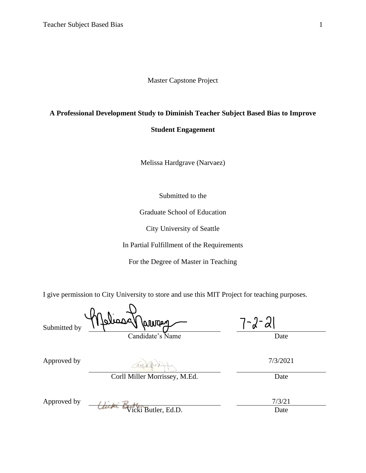Master Capstone Project

## **A Professional Development Study to Diminish Teacher Subject Based Bias to Improve**

## **Student Engagement**

Melissa Hardgrave (Narvaez)

Submitted to the

Graduate School of Education

City University of Seattle

In Partial Fulfillment of the Requirements

For the Degree of Master in Teaching

I give permission to City University to store and use this MIT Project for teaching purposes.

| Submitted by | Analissa namar   |  |
|--------------|------------------|--|
|              | Condidato's Namo |  |

Candidate's Name Date

| Approved by | $X \rightarrow Y$ | 7/3/2021 |
|-------------|-------------------|----------|
|-------------|-------------------|----------|

Corll Miller Morrissey, M.Ed. Date

| Approved by |                             |           |
|-------------|-----------------------------|-----------|
|             | liche business Dullar Ed.D. | $\lambda$ |

Vicki Butler, Ed.D. Date

 $7 - 2 - 21$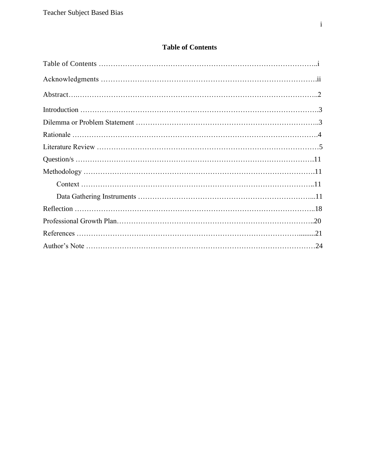# **Table of Contents**

<span id="page-1-0"></span>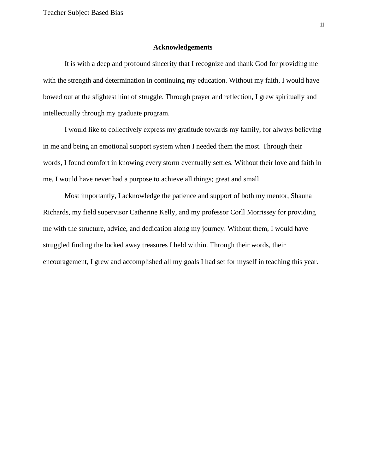#### **Acknowledgements**

It is with a deep and profound sincerity that I recognize and thank God for providing me with the strength and determination in continuing my education. Without my faith, I would have bowed out at the slightest hint of struggle. Through prayer and reflection, I grew spiritually and intellectually through my graduate program.

I would like to collectively express my gratitude towards my family, for always believing in me and being an emotional support system when I needed them the most. Through their words, I found comfort in knowing every storm eventually settles. Without their love and faith in me, I would have never had a purpose to achieve all things; great and small.

Most importantly, I acknowledge the patience and support of both my mentor, Shauna Richards, my field supervisor Catherine Kelly, and my professor Corll Morrissey for providing me with the structure, advice, and dedication along my journey. Without them, I would have struggled finding the locked away treasures I held within. Through their words, their encouragement, I grew and accomplished all my goals I had set for myself in teaching this year.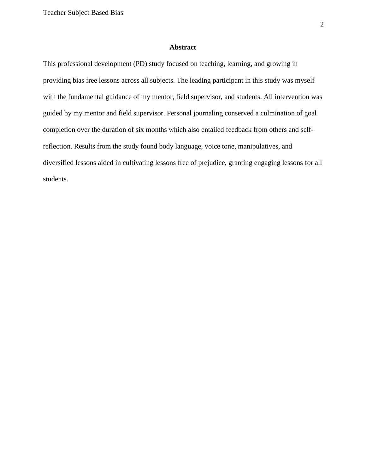## **Abstract**

This professional development (PD) study focused on teaching, learning, and growing in providing bias free lessons across all subjects. The leading participant in this study was myself with the fundamental guidance of my mentor, field supervisor, and students. All intervention was guided by my mentor and field supervisor. Personal journaling conserved a culmination of goal completion over the duration of six months which also entailed feedback from others and selfreflection. Results from the study found body language, voice tone, manipulatives, and diversified lessons aided in cultivating lessons free of prejudice, granting engaging lessons for all students.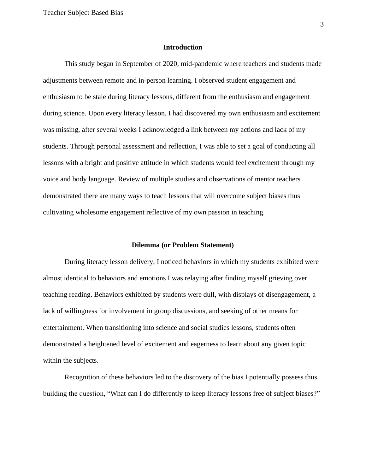#### **Introduction**

This study began in September of 2020, mid-pandemic where teachers and students made adjustments between remote and in-person learning. I observed student engagement and enthusiasm to be stale during literacy lessons, different from the enthusiasm and engagement during science. Upon every literacy lesson, I had discovered my own enthusiasm and excitement was missing, after several weeks I acknowledged a link between my actions and lack of my students. Through personal assessment and reflection, I was able to set a goal of conducting all lessons with a bright and positive attitude in which students would feel excitement through my voice and body language. Review of multiple studies and observations of mentor teachers demonstrated there are many ways to teach lessons that will overcome subject biases thus cultivating wholesome engagement reflective of my own passion in teaching.

#### **Dilemma (or Problem Statement)**

During literacy lesson delivery, I noticed behaviors in which my students exhibited were almost identical to behaviors and emotions I was relaying after finding myself grieving over teaching reading. Behaviors exhibited by students were dull, with displays of disengagement, a lack of willingness for involvement in group discussions, and seeking of other means for entertainment. When transitioning into science and social studies lessons, students often demonstrated a heightened level of excitement and eagerness to learn about any given topic within the subjects.

Recognition of these behaviors led to the discovery of the bias I potentially possess thus building the question, "What can I do differently to keep literacy lessons free of subject biases?"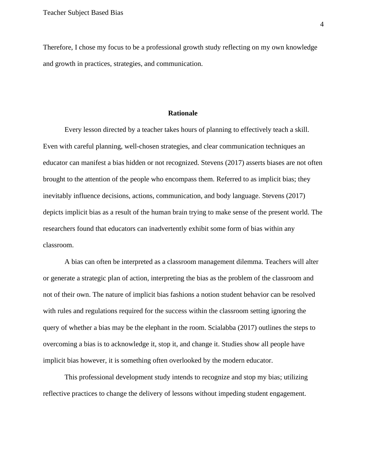Therefore, I chose my focus to be a professional growth study reflecting on my own knowledge and growth in practices, strategies, and communication.

#### **Rationale**

Every lesson directed by a teacher takes hours of planning to effectively teach a skill. Even with careful planning, well-chosen strategies, and clear communication techniques an educator can manifest a bias hidden or not recognized. Stevens (2017) asserts biases are not often brought to the attention of the people who encompass them. Referred to as implicit bias; they inevitably influence decisions, actions, communication, and body language. Stevens (2017) depicts implicit bias as a result of the human brain trying to make sense of the present world. The researchers found that educators can inadvertently exhibit some form of bias within any classroom.

A bias can often be interpreted as a classroom management dilemma. Teachers will alter or generate a strategic plan of action, interpreting the bias as the problem of the classroom and not of their own. The nature of implicit bias fashions a notion student behavior can be resolved with rules and regulations required for the success within the classroom setting ignoring the query of whether a bias may be the elephant in the room. Scialabba (2017) outlines the steps to overcoming a bias is to acknowledge it, stop it, and change it. Studies show all people have implicit bias however, it is something often overlooked by the modern educator.

This professional development study intends to recognize and stop my bias; utilizing reflective practices to change the delivery of lessons without impeding student engagement.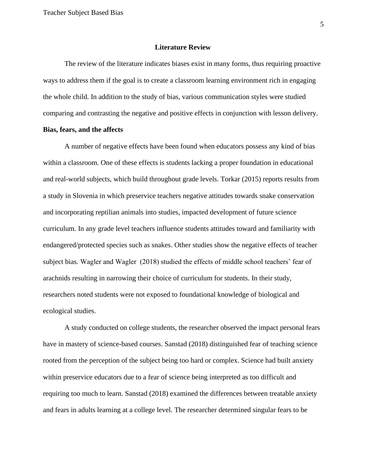#### **Literature Review**

The review of the literature indicates biases exist in many forms, thus requiring proactive ways to address them if the goal is to create a classroom learning environment rich in engaging the whole child. In addition to the study of bias, various communication styles were studied comparing and contrasting the negative and positive effects in conjunction with lesson delivery.

## **Bias, fears, and the affects**

A number of negative effects have been found when educators possess any kind of bias within a classroom. One of these effects is students lacking a proper foundation in educational and real-world subjects, which build throughout grade levels. Torkar (2015) reports results from a study in Slovenia in which preservice teachers negative attitudes towards snake conservation and incorporating reptilian animals into studies, impacted development of future science curriculum. In any grade level teachers influence students attitudes toward and familiarity with endangered/protected species such as snakes. Other studies show the negative effects of teacher subject bias. Wagler and Wagler (2018) studied the effects of middle school teachers' fear of arachnids resulting in narrowing their choice of curriculum for students. In their study, researchers noted students were not exposed to foundational knowledge of biological and ecological studies.

A study conducted on college students, the researcher observed the impact personal fears have in mastery of science-based courses. Sanstad (2018) distinguished fear of teaching science rooted from the perception of the subject being too hard or complex. Science had built anxiety within preservice educators due to a fear of science being interpreted as too difficult and requiring too much to learn. Sanstad (2018) examined the differences between treatable anxiety and fears in adults learning at a college level. The researcher determined singular fears to be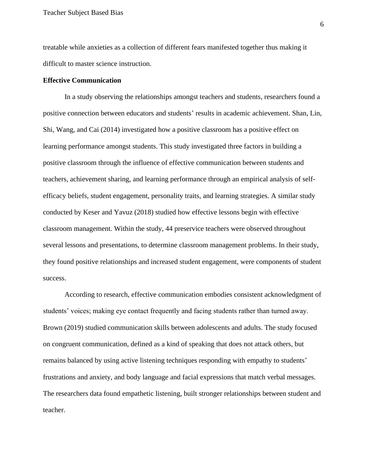treatable while anxieties as a collection of different fears manifested together thus making it difficult to master science instruction.

#### **Effective Communication**

In a study observing the relationships amongst teachers and students, researchers found a positive connection between educators and students' results in academic achievement. Shan, Lin, Shi, Wang, and Cai (2014) investigated how a positive classroom has a positive effect on learning performance amongst students. This study investigated three factors in building a positive classroom through the influence of effective communication between students and teachers, achievement sharing, and learning performance through an empirical analysis of selfefficacy beliefs, student engagement, personality traits, and learning strategies. A similar study conducted by Keser and Yavuz (2018) studied how effective lessons begin with effective classroom management. Within the study, 44 preservice teachers were observed throughout several lessons and presentations, to determine classroom management problems. In their study, they found positive relationships and increased student engagement, were components of student success.

According to research, effective communication embodies consistent acknowledgment of students' voices; making eye contact frequently and facing students rather than turned away. Brown (2019) studied communication skills between adolescents and adults. The study focused on congruent communication, defined as a kind of speaking that does not attack others, but remains balanced by using active listening techniques responding with empathy to students' frustrations and anxiety, and body language and facial expressions that match verbal messages. The researchers data found empathetic listening, built stronger relationships between student and teacher.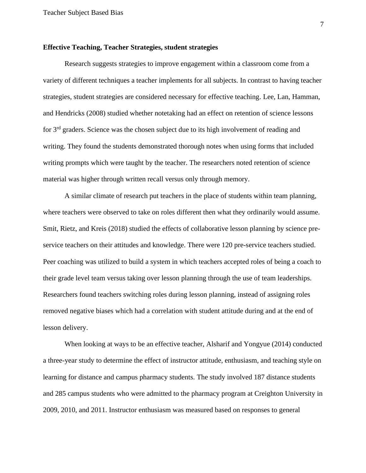### **Effective Teaching, Teacher Strategies, student strategies**

Research suggests strategies to improve engagement within a classroom come from a variety of different techniques a teacher implements for all subjects. In contrast to having teacher strategies, student strategies are considered necessary for effective teaching. Lee, Lan, Hamman, and Hendricks (2008) studied whether notetaking had an effect on retention of science lessons for 3<sup>rd</sup> graders. Science was the chosen subject due to its high involvement of reading and writing. They found the students demonstrated thorough notes when using forms that included writing prompts which were taught by the teacher. The researchers noted retention of science material was higher through written recall versus only through memory.

A similar climate of research put teachers in the place of students within team planning, where teachers were observed to take on roles different then what they ordinarily would assume. Smit, Rietz, and Kreis (2018) studied the effects of collaborative lesson planning by science preservice teachers on their attitudes and knowledge. There were 120 pre-service teachers studied. Peer coaching was utilized to build a system in which teachers accepted roles of being a coach to their grade level team versus taking over lesson planning through the use of team leaderships. Researchers found teachers switching roles during lesson planning, instead of assigning roles removed negative biases which had a correlation with student attitude during and at the end of lesson delivery.

When looking at ways to be an effective teacher, Alsharif and Yongyue (2014) conducted a three-year study to determine the effect of instructor attitude, enthusiasm, and teaching style on learning for distance and campus pharmacy students. The study involved 187 distance students and 285 campus students who were admitted to the pharmacy program at Creighton University in 2009, 2010, and 2011. Instructor enthusiasm was measured based on responses to general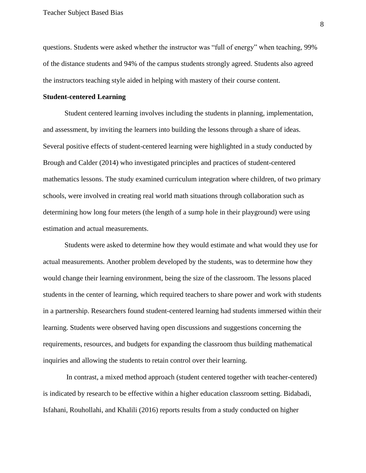questions. Students were asked whether the instructor was "full of energy" when teaching, 99% of the distance students and 94% of the campus students strongly agreed. Students also agreed the instructors teaching style aided in helping with mastery of their course content.

#### **Student-centered Learning**

Student centered learning involves including the students in planning, implementation, and assessment, by inviting the learners into building the lessons through a share of ideas. Several positive effects of student-centered learning were highlighted in a study conducted by Brough and Calder (2014) who investigated principles and practices of student-centered mathematics lessons. The study examined curriculum integration where children, of two primary schools, were involved in creating real world math situations through collaboration such as determining how long four meters (the length of a sump hole in their playground) were using estimation and actual measurements.

Students were asked to determine how they would estimate and what would they use for actual measurements. Another problem developed by the students, was to determine how they would change their learning environment, being the size of the classroom. The lessons placed students in the center of learning, which required teachers to share power and work with students in a partnership. Researchers found student-centered learning had students immersed within their learning. Students were observed having open discussions and suggestions concerning the requirements, resources, and budgets for expanding the classroom thus building mathematical inquiries and allowing the students to retain control over their learning.

In contrast, a mixed method approach (student centered together with teacher-centered) is indicated by research to be effective within a higher education classroom setting. Bidabadi, Isfahani, Rouhollahi, and Khalili (2016) reports results from a study conducted on higher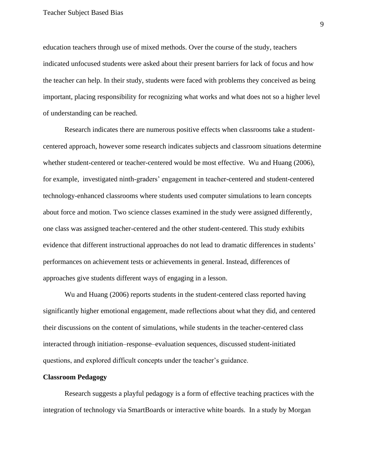education teachers through use of mixed methods. Over the course of the study, teachers indicated unfocused students were asked about their present barriers for lack of focus and how the teacher can help. In their study, students were faced with problems they conceived as being important, placing responsibility for recognizing what works and what does not so a higher level of understanding can be reached.

Research indicates there are numerous positive effects when classrooms take a studentcentered approach, however some research indicates subjects and classroom situations determine whether student-centered or teacher-centered would be most effective. Wu and Huang (2006), for example, investigated ninth-graders' engagement in teacher-centered and student-centered technology-enhanced classrooms where students used computer simulations to learn concepts about force and motion. Two science classes examined in the study were assigned differently, one class was assigned teacher-centered and the other student-centered. This study exhibits evidence that different instructional approaches do not lead to dramatic differences in students' performances on achievement tests or achievements in general. Instead, differences of approaches give students different ways of engaging in a lesson.

Wu and Huang (2006) reports students in the student-centered class reported having significantly higher emotional engagement, made reflections about what they did, and centered their discussions on the content of simulations, while students in the teacher-centered class interacted through initiation–response–evaluation sequences, discussed student-initiated questions, and explored difficult concepts under the teacher's guidance.

#### **Classroom Pedagogy**

Research suggests a playful pedagogy is a form of effective teaching practices with the integration of technology via SmartBoards or interactive white boards. In a study by Morgan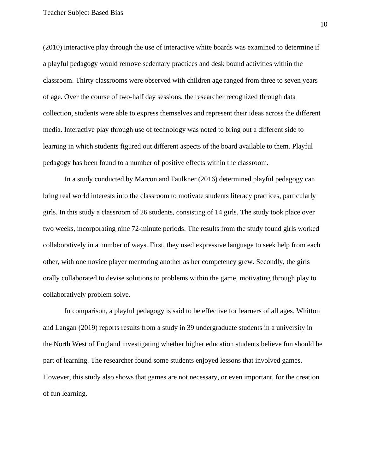Teacher Subject Based Bias

(2010) interactive play through the use of interactive white boards was examined to determine if a playful pedagogy would remove sedentary practices and desk bound activities within the classroom. Thirty classrooms were observed with children age ranged from three to seven years of age. Over the course of two-half day sessions, the researcher recognized through data collection, students were able to express themselves and represent their ideas across the different media. Interactive play through use of technology was noted to bring out a different side to learning in which students figured out different aspects of the board available to them. Playful pedagogy has been found to a number of positive effects within the classroom.

In a study conducted by Marcon and Faulkner (2016) determined playful pedagogy can bring real world interests into the classroom to motivate students literacy practices, particularly girls. In this study a classroom of 26 students, consisting of 14 girls. The study took place over two weeks, incorporating nine 72-minute periods. The results from the study found girls worked collaboratively in a number of ways. First, they used expressive language to seek help from each other, with one novice player mentoring another as her competency grew. Secondly, the girls orally collaborated to devise solutions to problems within the game, motivating through play to collaboratively problem solve.

In comparison, a playful pedagogy is said to be effective for learners of all ages. Whitton and Langan (2019) reports results from a study in 39 undergraduate students in a university in the North West of England investigating whether higher education students believe fun should be part of learning. The researcher found some students enjoyed lessons that involved games. However, this study also shows that games are not necessary, or even important, for the creation of fun learning.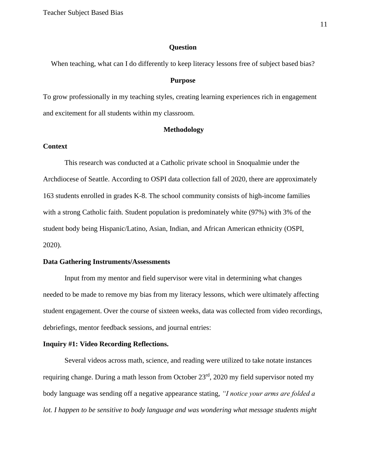#### **Question**

When teaching, what can I do differently to keep literacy lessons free of subject based bias?

#### **Purpose**

To grow professionally in my teaching styles, creating learning experiences rich in engagement and excitement for all students within my classroom.

#### **Methodology**

## **Context**

This research was conducted at a Catholic private school in Snoqualmie under the Archdiocese of Seattle. According to OSPI data collection fall of 2020, there are approximately 163 students enrolled in grades K-8. The school community consists of high-income families with a strong Catholic faith. Student population is predominately white (97%) with 3% of the student body being Hispanic/Latino, Asian, Indian, and African American ethnicity (OSPI, 2020).

#### **Data Gathering Instruments/Assessments**

Input from my mentor and field supervisor were vital in determining what changes needed to be made to remove my bias from my literacy lessons, which were ultimately affecting student engagement. Over the course of sixteen weeks, data was collected from video recordings, debriefings, mentor feedback sessions, and journal entries:

#### **Inquiry #1: Video Recording Reflections.**

Several videos across math, science, and reading were utilized to take notate instances requiring change. During a math lesson from October 23<sup>rd</sup>, 2020 my field supervisor noted my body language was sending off a negative appearance stating, *"I notice your arms are folded a*  lot. I happen to be sensitive to body language and was wondering what message students might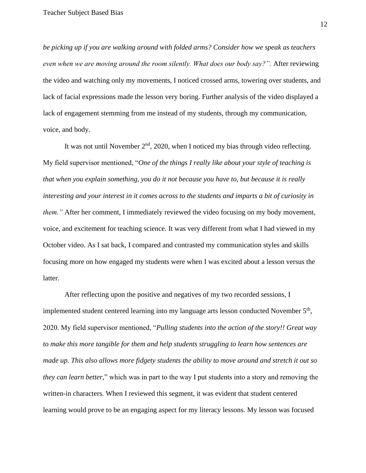*be picking up if you are walking around with folded arms? Consider how we speak as teachers even when we are moving around the room silently. What does our body say?".* After reviewing the video and watching only my movements, I noticed crossed arms, towering over students, and lack of facial expressions made the lesson very boring. Further analysis of the video displayed a lack of engagement stemming from me instead of my students, through my communication, voice, and body.

It was not until November 2<sup>nd</sup>, 2020, when I noticed my bias through video reflecting. My field supervisor mentioned, "*One of the things I really like about your style of teaching is that when you explain something, you do it not because you have to, but because it is really interesting and your interest in it comes across to the students and imparts a bit of curiosity in them."* After her comment, I immediately reviewed the video focusing on my body movement, voice, and excitement for teaching science. It was very different from what I had viewed in my October video. As I sat back, I compared and contrasted my communication styles and skills focusing more on how engaged my students were when I was excited about a lesson versus the latter.

After reflecting upon the positive and negatives of my two recorded sessions, I implemented student centered learning into my language arts lesson conducted November  $5<sup>th</sup>$ , 2020. My field supervisor mentioned, "*Pulling students into the action of the story!! Great way to make this more tangible for them and help students struggling to learn how sentences are made up. This also allows more fidgety students the ability to move around and stretch it out so they can learn better,*" which was in part to the way I put students into a story and removing the written-in characters. When I reviewed this segment, it was evident that student centered learning would prove to be an engaging aspect for my literacy lessons. My lesson was focused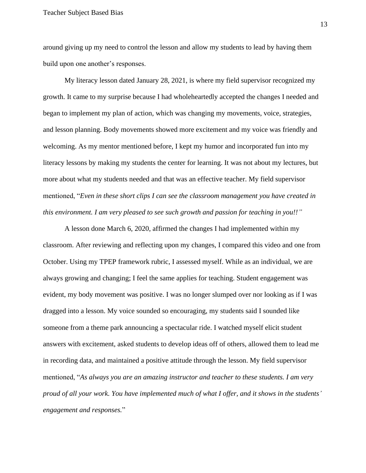around giving up my need to control the lesson and allow my students to lead by having them build upon one another's responses.

My literacy lesson dated January 28, 2021, is where my field supervisor recognized my growth. It came to my surprise because I had wholeheartedly accepted the changes I needed and began to implement my plan of action, which was changing my movements, voice, strategies, and lesson planning. Body movements showed more excitement and my voice was friendly and welcoming. As my mentor mentioned before, I kept my humor and incorporated fun into my literacy lessons by making my students the center for learning. It was not about my lectures, but more about what my students needed and that was an effective teacher. My field supervisor mentioned, "*Even in these short clips I can see the classroom management you have created in this environment. I am very pleased to see such growth and passion for teaching in you!!"* 

A lesson done March 6, 2020, affirmed the changes I had implemented within my classroom. After reviewing and reflecting upon my changes, I compared this video and one from October. Using my TPEP framework rubric, I assessed myself. While as an individual, we are always growing and changing; I feel the same applies for teaching. Student engagement was evident, my body movement was positive. I was no longer slumped over nor looking as if I was dragged into a lesson. My voice sounded so encouraging, my students said I sounded like someone from a theme park announcing a spectacular ride. I watched myself elicit student answers with excitement, asked students to develop ideas off of others, allowed them to lead me in recording data, and maintained a positive attitude through the lesson. My field supervisor mentioned, "*As always you are an amazing instructor and teacher to these students. I am very proud of all your work. You have implemented much of what I offer, and it shows in the students' engagement and responses.*"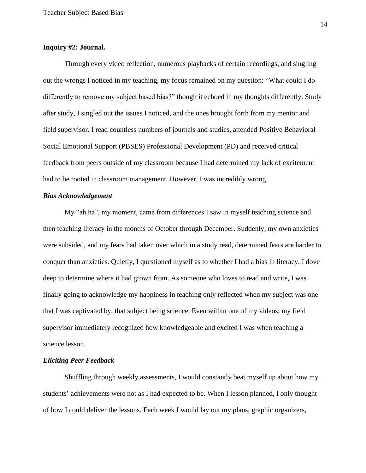## **Inquiry #2: Journal.**

Through every video reflection, numerous playbacks of certain recordings, and singling out the wrongs I noticed in my teaching, my focus remained on my question: "What could I do differently to remove my subject based bias?" though it echoed in my thoughts differently. Study after study, I singled out the issues I noticed, and the ones brought forth from my mentor and field supervisor. I read countless numbers of journals and studies, attended Positive Behavioral Social Emotional Support (PBSES) Professional Development (PD) and received critical feedback from peers outside of my classroom because I had determined my lack of excitement had to be rooted in classroom management. However, I was incredibly wrong.

## *Bias Acknowledgement*

My "ah ha", my moment, came from differences I saw in myself teaching science and then teaching literacy in the months of October through December. Suddenly, my own anxieties were subsided, and my fears had taken over which in a study read, determined fears are harder to conquer than anxieties. Quietly, I questioned myself as to whether I had a bias in literacy. I dove deep to determine where it had grown from. As someone who loves to read and write, I was finally going to acknowledge my happiness in teaching only reflected when my subject was one that I was captivated by, that subject being science. Even within one of my videos, my field supervisor immediately recognized how knowledgeable and excited I was when teaching a science lesson.

#### *Eliciting Peer Feedback*

Shuffling through weekly assessments, I would constantly beat myself up about how my students' achievements were not as I had expected to be. When I lesson planned, I only thought of how I could deliver the lessons. Each week I would lay out my plans, graphic organizers,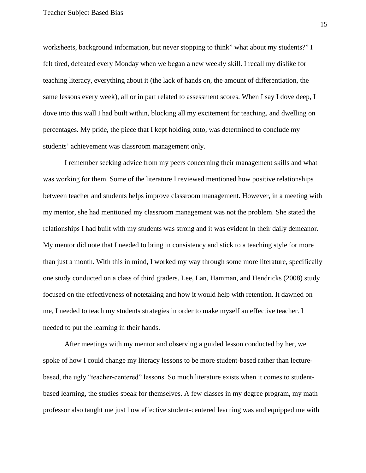worksheets, background information, but never stopping to think" what about my students?" I felt tired, defeated every Monday when we began a new weekly skill. I recall my dislike for teaching literacy, everything about it (the lack of hands on, the amount of differentiation, the same lessons every week), all or in part related to assessment scores. When I say I dove deep, I dove into this wall I had built within, blocking all my excitement for teaching, and dwelling on percentages. My pride, the piece that I kept holding onto, was determined to conclude my students' achievement was classroom management only.

I remember seeking advice from my peers concerning their management skills and what was working for them. Some of the literature I reviewed mentioned how positive relationships between teacher and students helps improve classroom management. However, in a meeting with my mentor, she had mentioned my classroom management was not the problem. She stated the relationships I had built with my students was strong and it was evident in their daily demeanor. My mentor did note that I needed to bring in consistency and stick to a teaching style for more than just a month. With this in mind, I worked my way through some more literature, specifically one study conducted on a class of third graders. Lee, Lan, Hamman, and Hendricks (2008) study focused on the effectiveness of notetaking and how it would help with retention. It dawned on me, I needed to teach my students strategies in order to make myself an effective teacher. I needed to put the learning in their hands.

After meetings with my mentor and observing a guided lesson conducted by her, we spoke of how I could change my literacy lessons to be more student-based rather than lecturebased, the ugly "teacher-centered" lessons. So much literature exists when it comes to studentbased learning, the studies speak for themselves. A few classes in my degree program, my math professor also taught me just how effective student-centered learning was and equipped me with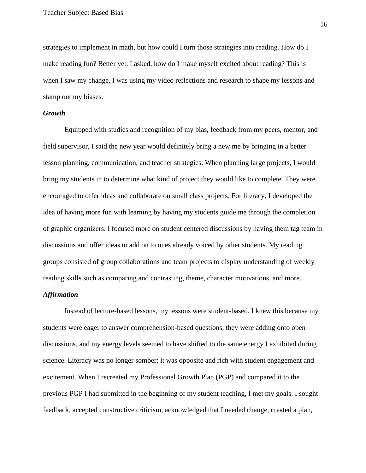strategies to implement in math, but how could I turn those strategies into reading. How do I make reading fun? Better yet, I asked, how do I make myself excited about reading? This is when I saw my change, I was using my video reflections and research to shape my lessons and stamp out my biases.

#### *Growth*

Equipped with studies and recognition of my bias, feedback from my peers, mentor, and field supervisor, I said the new year would definitely bring a new me by bringing in a better lesson planning, communication, and teacher strategies. When planning large projects, I would bring my students in to determine what kind of project they would like to complete. They were encouraged to offer ideas and collaborate on small class projects. For literacy, I developed the idea of having more fun with learning by having my students guide me through the completion of graphic organizers. I focused more on student centered discussions by having them tag team in discussions and offer ideas to add on to ones already voiced by other students. My reading groups consisted of group collaborations and team projects to display understanding of weekly reading skills such as comparing and contrasting, theme, character motivations, and more.

## *Affirmation*

Instead of lecture-based lessons, my lessons were student-based. I knew this because my students were eager to answer comprehension-based questions, they were adding onto open discussions, and my energy levels seemed to have shifted to the same energy I exhibited during science. Literacy was no longer somber; it was opposite and rich with student engagement and excitement. When I recreated my Professional Growth Plan (PGP) and compared it to the previous PGP I had submitted in the beginning of my student teaching, I met my goals. I sought feedback, accepted constructive criticism, acknowledged that I needed change, created a plan,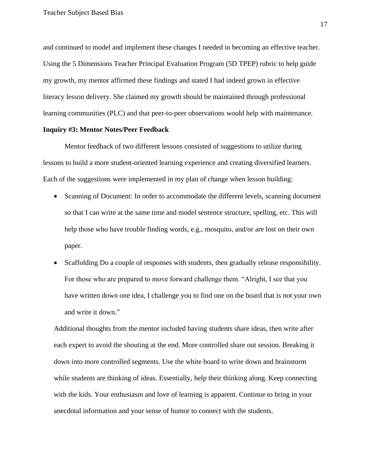and continued to model and implement these changes I needed in becoming an effective teacher. Using the 5 Dimensions Teacher Principal Evaluation Program (5D TPEP) rubric to help guide my growth, my mentor affirmed these findings and stated I had indeed grown in effective literacy lesson delivery. She claimed my growth should be maintained through professional learning communities (PLC) and that peer-to-peer observations would help with maintenance.

## **Inquiry #3: Mentor Notes/Peer Feedback**

Mentor feedback of two different lessons consisted of suggestions to utilize during lessons to build a more student-oriented learning experience and creating diversified learners. Each of the suggestions were implemented in my plan of change when lesson building:

- Scanning of Document: In order to accommodate the different levels, scanning document so that I can write at the same time and model sentence structure, spelling, etc. This will help those who have trouble finding words, e.g., mosquito, and/or are lost on their own paper.
- Scaffolding Do a couple of responses with students, then gradually release responsibility. For those who are prepared to move forward challenge them. "Alright, I see that you have written down one idea, I challenge you to find one on the board that is not your own and write it down."

Additional thoughts from the mentor included having students share ideas, then write after each expert to avoid the shouting at the end. More controlled share out session. Breaking it down into more controlled segments. Use the white board to write down and brainstorm while students are thinking of ideas. Essentially, help their thinking along. Keep connecting with the kids. Your enthusiasm and love of learning is apparent. Continue to bring in your anecdotal information and your sense of humor to connect with the students.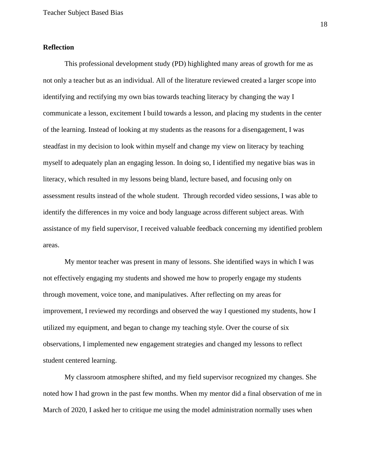## **Reflection**

This professional development study (PD) highlighted many areas of growth for me as not only a teacher but as an individual. All of the literature reviewed created a larger scope into identifying and rectifying my own bias towards teaching literacy by changing the way I communicate a lesson, excitement I build towards a lesson, and placing my students in the center of the learning. Instead of looking at my students as the reasons for a disengagement, I was steadfast in my decision to look within myself and change my view on literacy by teaching myself to adequately plan an engaging lesson. In doing so, I identified my negative bias was in literacy, which resulted in my lessons being bland, lecture based, and focusing only on assessment results instead of the whole student. Through recorded video sessions, I was able to identify the differences in my voice and body language across different subject areas. With assistance of my field supervisor, I received valuable feedback concerning my identified problem areas.

My mentor teacher was present in many of lessons. She identified ways in which I was not effectively engaging my students and showed me how to properly engage my students through movement, voice tone, and manipulatives. After reflecting on my areas for improvement, I reviewed my recordings and observed the way I questioned my students, how I utilized my equipment, and began to change my teaching style. Over the course of six observations, I implemented new engagement strategies and changed my lessons to reflect student centered learning.

My classroom atmosphere shifted, and my field supervisor recognized my changes. She noted how I had grown in the past few months. When my mentor did a final observation of me in March of 2020, I asked her to critique me using the model administration normally uses when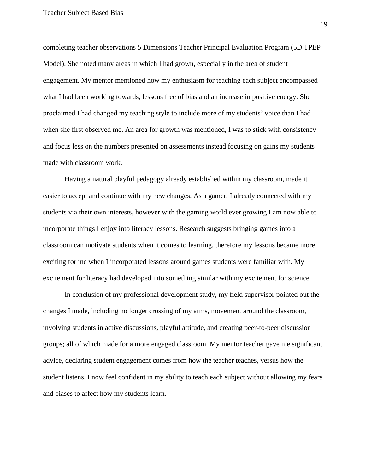completing teacher observations 5 Dimensions Teacher Principal Evaluation Program (5D TPEP Model). She noted many areas in which I had grown, especially in the area of student engagement. My mentor mentioned how my enthusiasm for teaching each subject encompassed what I had been working towards, lessons free of bias and an increase in positive energy. She proclaimed I had changed my teaching style to include more of my students' voice than I had when she first observed me. An area for growth was mentioned, I was to stick with consistency and focus less on the numbers presented on assessments instead focusing on gains my students made with classroom work.

Having a natural playful pedagogy already established within my classroom, made it easier to accept and continue with my new changes. As a gamer, I already connected with my students via their own interests, however with the gaming world ever growing I am now able to incorporate things I enjoy into literacy lessons. Research suggests bringing games into a classroom can motivate students when it comes to learning, therefore my lessons became more exciting for me when I incorporated lessons around games students were familiar with. My excitement for literacy had developed into something similar with my excitement for science.

In conclusion of my professional development study, my field supervisor pointed out the changes I made, including no longer crossing of my arms, movement around the classroom, involving students in active discussions, playful attitude, and creating peer-to-peer discussion groups; all of which made for a more engaged classroom. My mentor teacher gave me significant advice, declaring student engagement comes from how the teacher teaches, versus how the student listens. I now feel confident in my ability to teach each subject without allowing my fears and biases to affect how my students learn.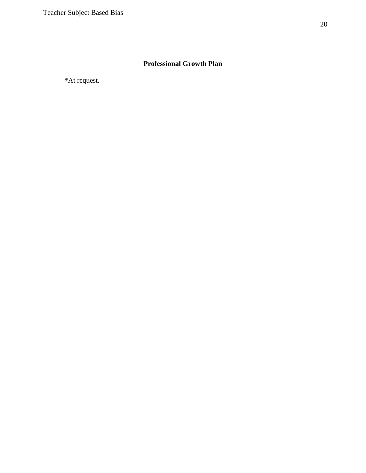# **Professional Growth Plan**

\*At request.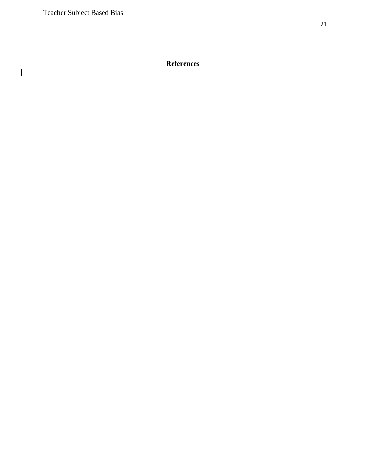$\mathbf{I}% _{0}\left( \mathbf{I}_{1}\right)$ 

# **References**